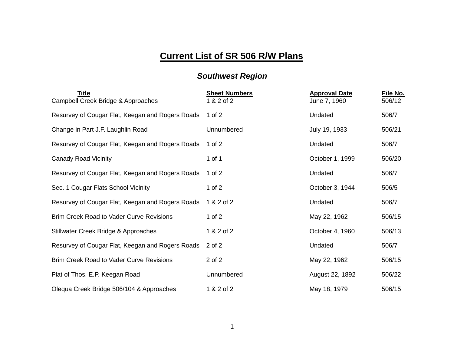## **Current List of SR 506 R/W Plans**

## *Southwest Region*

| <b>Title</b><br>Campbell Creek Bridge & Approaches | <b>Sheet Numbers</b><br>1 & 2 of 2 | <b>Approval Date</b><br>June 7, 1960 | File No.<br>506/12 |
|----------------------------------------------------|------------------------------------|--------------------------------------|--------------------|
| Resurvey of Cougar Flat, Keegan and Rogers Roads   | 1 of $2$                           | Undated                              | 506/7              |
| Change in Part J.F. Laughlin Road                  | Unnumbered                         | July 19, 1933                        | 506/21             |
| Resurvey of Cougar Flat, Keegan and Rogers Roads   | 1 of 2                             | Undated                              | 506/7              |
| <b>Canady Road Vicinity</b>                        | 1 of 1                             | October 1, 1999                      | 506/20             |
| Resurvey of Cougar Flat, Keegan and Rogers Roads   | 1 of $2$                           | Undated                              | 506/7              |
| Sec. 1 Cougar Flats School Vicinity                | 1 of $2$                           | October 3, 1944                      | 506/5              |
| Resurvey of Cougar Flat, Keegan and Rogers Roads   | 1 & 2 of 2                         | Undated                              | 506/7              |
| <b>Brim Creek Road to Vader Curve Revisions</b>    | 1 of $2$                           | May 22, 1962                         | 506/15             |
| Stillwater Creek Bridge & Approaches               | 1 & 2 of 2                         | October 4, 1960                      | 506/13             |
| Resurvey of Cougar Flat, Keegan and Rogers Roads   | 2 of 2                             | Undated                              | 506/7              |
| <b>Brim Creek Road to Vader Curve Revisions</b>    | 2 of 2                             | May 22, 1962                         | 506/15             |
| Plat of Thos. E.P. Keegan Road                     | Unnumbered                         | August 22, 1892                      | 506/22             |
| Olequa Creek Bridge 506/104 & Approaches           | 1 & 2 of 2                         | May 18, 1979                         | 506/15             |